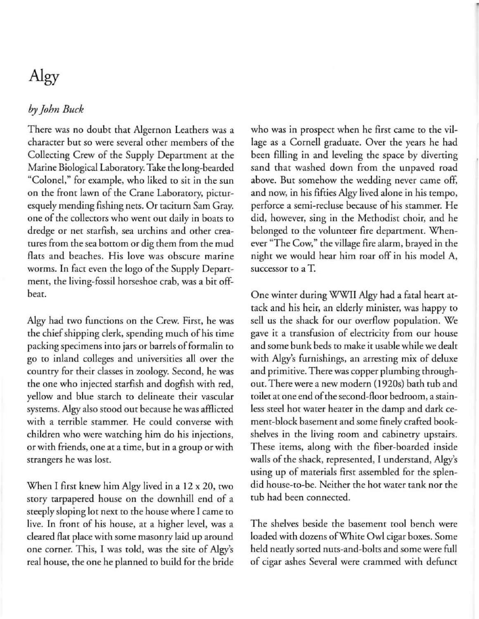## Algy

## *by john Blick*

There was no doubt that Algernon Leathers was a character but so were several other members of the Collecting Crew of the Supply Department at the Marine Biological Laboratory. Take the long-bearded "Colonel," for example, who liked to sit in the sun on the front lawn of the Crane Laboratory, picturesquely mending fishing nets. Or taciturn Sam Gray. one of the collectors who went out daily in boats to dredge or net starfish, sea urchins and other creatures from the sea bottom or dig them from the mud flats and beaches. His love was obscure marine worms. In fact even the logo of the Supply Department, the living-fossil horseshoe crab, was a bit offbeat.

Algy had rwo functions on the Crew. First, he was the chief shipping clerk, spending much of his time packing specimens into jars or barrels of formalin to go to inland colleges and universities allover the country for their classes in zoology. Second, he was the one who injected starfish and dogfish with red, yellow and blue starch to delineate their vascular systems. Algy also stood out because he was affiicted with a terrible stammer. He could converse with children who were watching him do his injections, **or with friends. one at a time, but in a group or with strangers he was lost.** 

When I first knew him Algy lived in a 12 x 20, rwo story tarpapered house on the downhill end of a steeply sloping lot next to the house where I came to live. In front of his house, at a higher level, was a cleared flat place with some masonry laid up around one corner. This, I was told, was the site of Algy's real house, the one he planned to build for the bride who was in prospect when he first came to the village as a Cornell graduate. Over the years he had been filling in and leveling the space by diverting sand that washed down from the unpaved road above. But somehow the wedding never came off, and now, in his fifties Algy lived alone in his tempo, **perforce a semi-recluse because of his stammer. He**  did, however, sing in the Methodist choir, and he belonged to the volunteer fire department. Whenever "The Cow," the village fire alarm, brayed in the night we would hear him roar off in his model A, **successor to aT.** 

One winter during WWII Algy had a fatal heart attack and his heir, an elderly minister, was happy to sell us the shack for our overflow population. We **gave it a transfusion of electricity from OUf house**  and some bunk beds to make it usable while we dealt with Algy's furnishings, an arresting mix of deluxe and primitive. There was copper plumbing throughout. There were a new modern (I 920s) bath tub and toilet at one end of the second-floor bedroom, a stainless steel hot water heater in the damp and dark cement-block basement and some finely crafted bookshelves in the living room and cabinetry upstairs. These items, along with the fiber-boarded inside walls of the shack, represented, I understand, Algy's using up of materials first assembled for the splendid house-to-be. Neither the hot water tank nor the tub had been connected.

The shelves beside the basement tool bench were loaded with dozens of White Owl cigar boxes. Some held neatly sorted nuts-and-bolts and some were full of cigar ashes Several were crammed with defunct